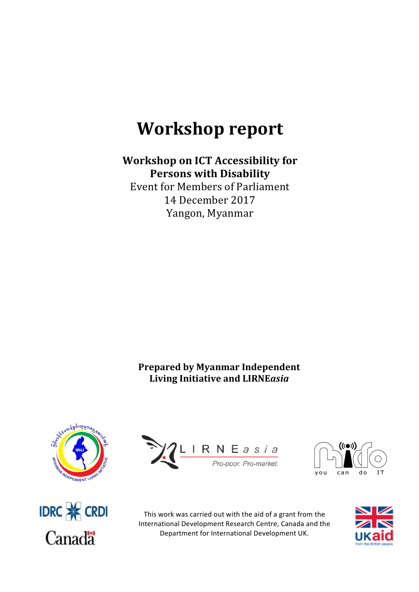# **Workshop report**

# **Workshop on ICT Accessibility for Persons with Disability**

Event for Members of Parliament 14 December 2017 Yangon, Myanmar

## **Prepared by Myanmar Independent** Living Initiative and LIRNEasia









This work was carried out with the aid of a grant from the International Development Research Centre, Canada and the Department for International Development UK.

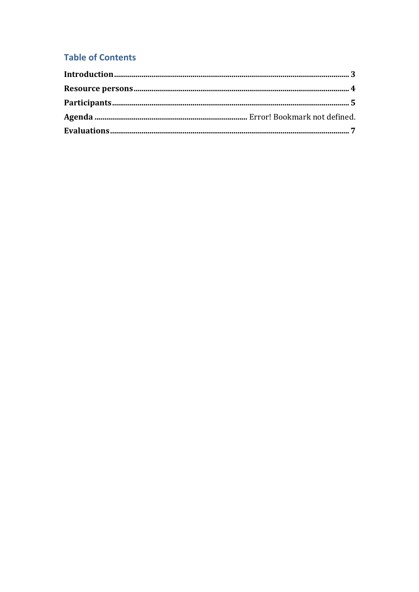## **Table of Contents**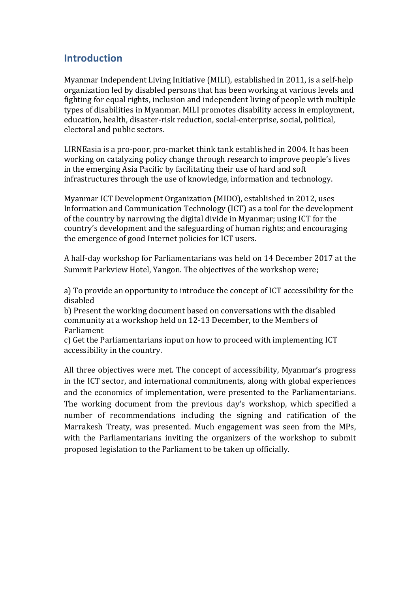## **Introduction**

Myanmar Independent Living Initiative (MILI), established in 2011, is a self-help organization led by disabled persons that has been working at various levels and fighting for equal rights, inclusion and independent living of people with multiple types of disabilities in Myanmar. MILI promotes disability access in employment, education, health, disaster-risk reduction, social-enterprise, social, political, electoral and public sectors.

LIRNEasia is a pro-poor, pro-market think tank established in 2004. It has been working on catalyzing policy change through research to improve people's lives in the emerging Asia Pacific by facilitating their use of hard and soft infrastructures through the use of knowledge, information and technology.

Myanmar ICT Development Organization (MIDO), established in 2012, uses Information and Communication Technology (ICT) as a tool for the development of the country by narrowing the digital divide in Myanmar; using ICT for the country's development and the safeguarding of human rights; and encouraging the emergence of good Internet policies for ICT users.

A half-day workshop for Parliamentarians was held on 14 December 2017 at the Summit Parkview Hotel, Yangon. The objectives of the workshop were;

a) To provide an opportunity to introduce the concept of ICT accessibility for the disabled 

b) Present the working document based on conversations with the disabled community at a workshop held on 12-13 December, to the Members of Parliament 

c) Get the Parliamentarians input on how to proceed with implementing ICT accessibility in the country.

All three objectives were met. The concept of accessibility, Myanmar's progress in the ICT sector, and international commitments, along with global experiences and the economics of implementation, were presented to the Parliamentarians. The working document from the previous day's workshop, which specified a number of recommendations including the signing and ratification of the Marrakesh Treaty, was presented. Much engagement was seen from the MPs, with the Parliamentarians inviting the organizers of the workshop to submit proposed legislation to the Parliament to be taken up officially.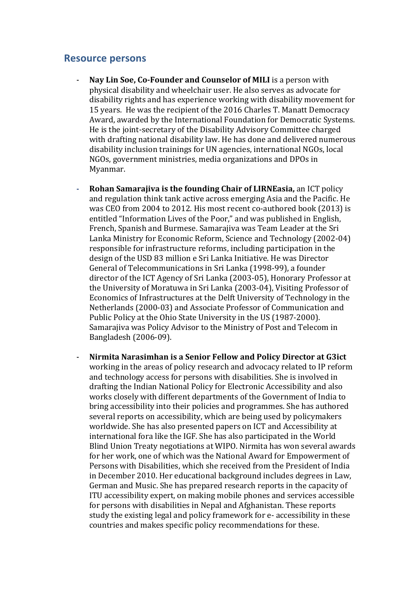#### **Resource persons**

- **Nay Lin Soe, Co-Founder and Counselor of MILI** is a person with physical disability and wheelchair user. He also serves as advocate for disability rights and has experience working with disability movement for 15 years. He was the recipient of the 2016 Charles T. Manatt Democracy Award, awarded by the International Foundation for Democratic Systems. He is the joint-secretary of the Disability Advisory Committee charged with drafting national disability law. He has done and delivered numerous disability inclusion trainings for UN agencies, international NGOs, local NGOs, government ministries, media organizations and DPOs in Myanmar.
- **Rohan Samarajiva is the founding Chair of LIRNEasia.** an ICT policy and regulation think tank active across emerging Asia and the Pacific. He was CEO from 2004 to 2012. His most recent co-authored book (2013) is entitled "Information Lives of the Poor," and was published in English, French, Spanish and Burmese. Samarajiva was Team Leader at the Sri Lanka Ministry for Economic Reform, Science and Technology (2002-04) responsible for infrastructure reforms, including participation in the design of the USD 83 million e Sri Lanka Initiative. He was Director General of Telecommunications in Sri Lanka (1998-99), a founder director of the ICT Agency of Sri Lanka (2003-05), Honorary Professor at the University of Moratuwa in Sri Lanka (2003-04), Visiting Professor of Economics of Infrastructures at the Delft University of Technology in the Netherlands (2000-03) and Associate Professor of Communication and Public Policy at the Ohio State University in the US (1987-2000). Samarajiva was Policy Advisor to the Ministry of Post and Telecom in Bangladesh (2006-09).
- Nirmita Narasimhan is a Senior Fellow and Policy Director at G3ict working in the areas of policy research and advocacy related to IP reform and technology access for persons with disabilities. She is involved in drafting the Indian National Policy for Electronic Accessibility and also works closely with different departments of the Government of India to bring accessibility into their policies and programmes. She has authored several reports on accessibility, which are being used by policymakers worldwide. She has also presented papers on ICT and Accessibility at international fora like the IGF. She has also participated in the World Blind Union Treaty negotiations at WIPO. Nirmita has won several awards for her work, one of which was the National Award for Empowerment of Persons with Disabilities, which she received from the President of India in December 2010. Her educational background includes degrees in Law, German and Music. She has prepared research reports in the capacity of ITU accessibility expert, on making mobile phones and services accessible for persons with disabilities in Nepal and Afghanistan. These reports study the existing legal and policy framework for e-accessibility in these countries and makes specific policy recommendations for these.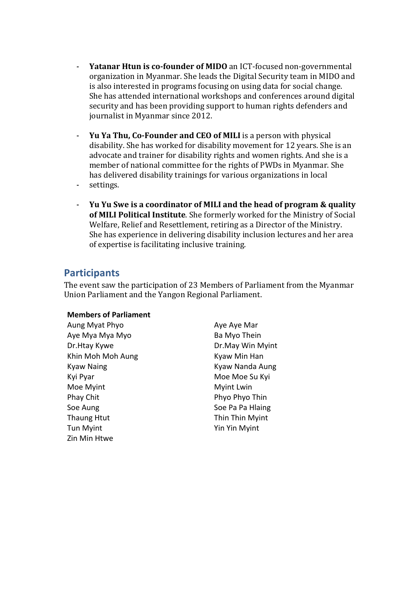- **Yatanar Htun is co-founder of MIDO** an ICT-focused non-governmental organization in Myanmar. She leads the Digital Security team in MIDO and is also interested in programs focusing on using data for social change. She has attended international workshops and conferences around digital security and has been providing support to human rights defenders and journalist in Myanmar since 2012.
- **Yu Ya Thu, Co-Founder and CEO of MILI** is a person with physical disability. She has worked for disability movement for 12 years. She is an advocate and trainer for disability rights and women rights. And she is a member of national committee for the rights of PWDs in Myanmar. She has delivered disability trainings for various organizations in local
- settings.
- **Yu Yu Swe is a coordinator of MILI and the head of program & quality** of MILI Political Institute. She formerly worked for the Ministry of Social Welfare, Relief and Resettlement, retiring as a Director of the Ministry. She has experience in delivering disability inclusion lectures and her area of expertise is facilitating inclusive training.

## **Participants**

The event saw the participation of 23 Members of Parliament from the Myanmar Union Parliament and the Yangon Regional Parliament.

#### **Members of Parliament**

Aung Myat Phyo **Aung Aye Aye Mar** Aye Mya Mya Myo **Ba** Myo Thein Dr.Htay Kywe **Dr.May Win Myint** Khin Moh Moh Aung **Kyaw** Min Han Kyaw Naing **Kyaw** Nanda Aung Kyi Pyar Moe Moe Su Kyi Moe Myint **Myint** Lwin Phay Chit **Phyo Phyo Thin** Soe Aung Soe Pa Pa Hlaing Thaung Htut Thin Thin Myint Tun Myint **Tun Myint** Yin Yin Myint Zin Min Htwe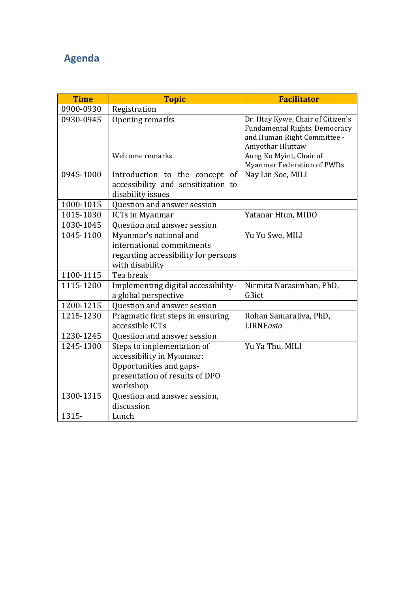## **Agenda**

| <b>Time</b> | <b>Topic</b>                                                                                                                     | <b>Facilitator</b>                                                                                                    |
|-------------|----------------------------------------------------------------------------------------------------------------------------------|-----------------------------------------------------------------------------------------------------------------------|
| 0900-0930   | Registration                                                                                                                     |                                                                                                                       |
| 0930-0945   | Opening remarks                                                                                                                  | Dr. Htay Kywe, Chair of Citizen's<br>Fundamental Rights, Democracy<br>and Human Right Committee -<br>Amyothar Hluttaw |
|             | Welcome remarks                                                                                                                  | Aung Ko Myint, Chair of<br><b>Myanmar Federation of PWDs</b>                                                          |
| 0945-1000   | Introduction to the concept of<br>accessibility and sensitization to<br>disability issues                                        | Nay Lin Soe, MILI                                                                                                     |
| 1000-1015   | Question and answer session                                                                                                      |                                                                                                                       |
| 1015-1030   | ICTs in Myanmar                                                                                                                  | Yatanar Htun, MIDO                                                                                                    |
| 1030-1045   | Question and answer session                                                                                                      |                                                                                                                       |
| 1045-1100   | Myanmar's national and<br>international commitments<br>regarding accessibility for persons<br>with disability                    | Yu Yu Swe, MILI                                                                                                       |
| 1100-1115   | Tea break                                                                                                                        |                                                                                                                       |
| 1115-1200   | Implementing digital accessibility-<br>a global perspective                                                                      | Nirmita Narasimhan, PhD,<br>G3ict                                                                                     |
| 1200-1215   | Question and answer session                                                                                                      |                                                                                                                       |
| 1215-1230   | Pragmatic first steps in ensuring<br>accessible ICTs                                                                             | Rohan Samarajiva, PhD,<br>LIRNEasia                                                                                   |
| 1230-1245   | Question and answer session                                                                                                      |                                                                                                                       |
| 1245-1300   | Steps to implementation of<br>accessibility in Myanmar:<br>Opportunities and gaps-<br>presentation of results of DPO<br>workshop | Yu Ya Thu, MILI                                                                                                       |
| 1300-1315   | Question and answer session,<br>discussion                                                                                       |                                                                                                                       |
| 1315-       | Lunch                                                                                                                            |                                                                                                                       |